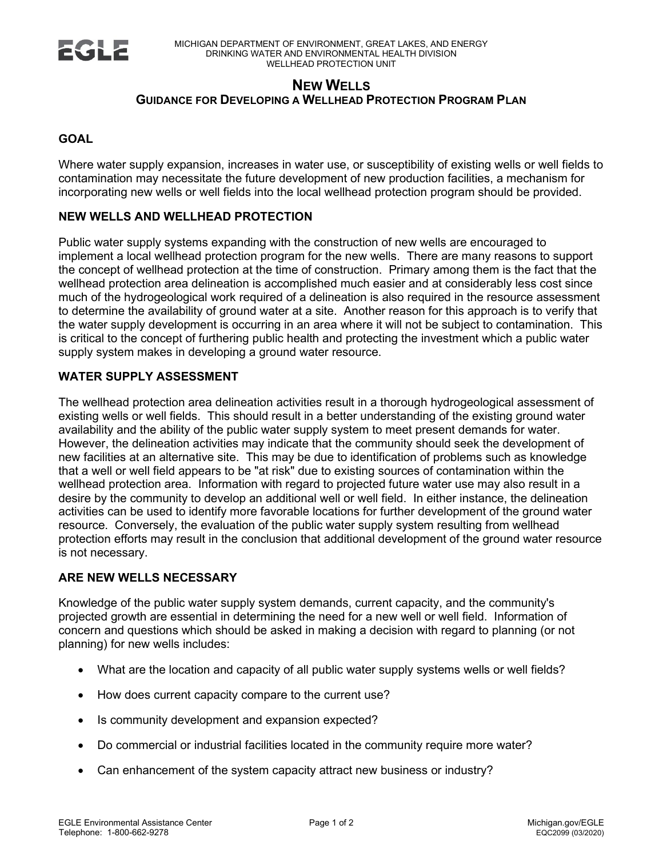

# **NEW WELLS GUIDANCE FOR DEVELOPING A WELLHEAD PROTECTION PROGRAM PLAN**

## **GOAL**

Where water supply expansion, increases in water use, or susceptibility of existing wells or well fields to contamination may necessitate the future development of new production facilities, a mechanism for incorporating new wells or well fields into the local wellhead protection program should be provided.

### **NEW WELLS AND WELLHEAD PROTECTION**

Public water supply systems expanding with the construction of new wells are encouraged to implement a local wellhead protection program for the new wells. There are many reasons to support the concept of wellhead protection at the time of construction. Primary among them is the fact that the wellhead protection area delineation is accomplished much easier and at considerably less cost since much of the hydrogeological work required of a delineation is also required in the resource assessment to determine the availability of ground water at a site. Another reason for this approach is to verify that the water supply development is occurring in an area where it will not be subject to contamination. This is critical to the concept of furthering public health and protecting the investment which a public water supply system makes in developing a ground water resource.

### **WATER SUPPLY ASSESSMENT**

The wellhead protection area delineation activities result in a thorough hydrogeological assessment of existing wells or well fields. This should result in a better understanding of the existing ground water availability and the ability of the public water supply system to meet present demands for water. However, the delineation activities may indicate that the community should seek the development of new facilities at an alternative site. This may be due to identification of problems such as knowledge that a well or well field appears to be "at risk" due to existing sources of contamination within the wellhead protection area. Information with regard to projected future water use may also result in a desire by the community to develop an additional well or well field. In either instance, the delineation activities can be used to identify more favorable locations for further development of the ground water resource. Conversely, the evaluation of the public water supply system resulting from wellhead protection efforts may result in the conclusion that additional development of the ground water resource is not necessary.

#### **ARE NEW WELLS NECESSARY**

Knowledge of the public water supply system demands, current capacity, and the community's projected growth are essential in determining the need for a new well or well field. Information of concern and questions which should be asked in making a decision with regard to planning (or not planning) for new wells includes:

- What are the location and capacity of all public water supply systems wells or well fields?
- How does current capacity compare to the current use?
- Is community development and expansion expected?
- Do commercial or industrial facilities located in the community require more water?
- Can enhancement of the system capacity attract new business or industry?